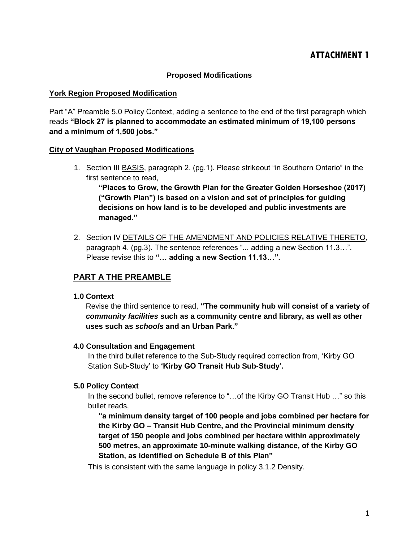# **ATTACHMENT 1**

### **Proposed Modifications**

#### **York Region Proposed Modification**

Part "A" Preamble 5.0 Policy Context, adding a sentence to the end of the first paragraph which reads **"Block 27 is planned to accommodate an estimated minimum of 19,100 persons and a minimum of 1,500 jobs."**

#### **City of Vaughan Proposed Modifications**

1. Section III BASIS, paragraph 2. (pg.1). Please strikeout "in Southern Ontario" in the first sentence to read,

**"Places to Grow, the Growth Plan for the Greater Golden Horseshoe (2017) ("Growth Plan") is based on a vision and set of principles for guiding decisions on how land is to be developed and public investments are managed."**

2. Section IV DETAILS OF THE AMENDMENT AND POLICIES RELATIVE THERETO, paragraph 4. (pg.3). The sentence references "... adding a new Section 11.3…". Please revise this to **"… adding a new Section 11.13…".**

## **PART A THE PREAMBLE**

#### **1.0 Context**

Revise the third sentence to read, **"The community hub will consist of a variety of**  *community facilities* **such as a community centre and library, as well as other uses such as** *schools* **and an Urban Park."**

#### **4.0 Consultation and Engagement**

In the third bullet reference to the Sub-Study required correction from, 'Kirby GO Station Sub-Study' to **'Kirby GO Transit Hub Sub-Study'.**

#### **5.0 Policy Context**

In the second bullet, remove reference to "... of the Kirby GO Transit Hub ..." so this bullet reads,

**"a minimum density target of 100 people and jobs combined per hectare for the Kirby GO – Transit Hub Centre, and the Provincial minimum density target of 150 people and jobs combined per hectare within approximately 500 metres, an approximate 10-minute walking distance, of the Kirby GO Station, as identified on Schedule B of this Plan"** 

This is consistent with the same language in policy 3.1.2 Density.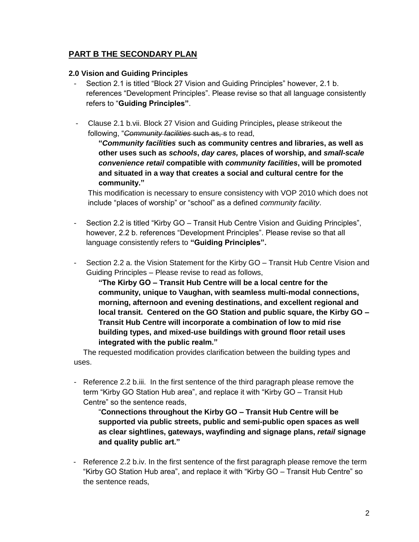## **PART B THE SECONDARY PLAN**

#### **2.0 Vision and Guiding Principles**

- Section 2.1 is titled "Block 27 Vision and Guiding Principles" however, 2.1 b. references "Development Principles". Please revise so that all language consistently refers to "**Guiding Principles"**.
- Clause 2.1 b.vii. Block 27 Vision and Guiding Principles**,** please strikeout the following, "*Community facilities* such as, s to read,

**"***Community facilities* **such as community centres and libraries, as well as other uses such as** *schools***,** *day cares,* **places of worship, and** *small-scale convenience retail* **compatible with** *community facilities***, will be promoted and situated in a way that creates a social and cultural centre for the community."**

This modification is necessary to ensure consistency with VOP 2010 which does not include "places of worship" or "school" as a defined *community facility*.

- Section 2.2 is titled "Kirby GO Transit Hub Centre Vision and Guiding Principles", however, 2.2 b. references "Development Principles". Please revise so that all language consistently refers to **"Guiding Principles".**
- Section 2.2 a. the Vision Statement for the Kirby GO Transit Hub Centre Vision and Guiding Principles – Please revise to read as follows,

**"The Kirby GO – Transit Hub Centre will be a local centre for the community, unique to Vaughan, with seamless multi-modal connections, morning, afternoon and evening destinations, and excellent regional and local transit. Centered on the GO Station and public square, the Kirby GO – Transit Hub Centre will incorporate a combination of low to mid rise building types, and mixed-use buildings with ground floor retail uses integrated with the public realm."**

The requested modification provides clarification between the building types and uses.

- Reference 2.2 b.iii. In the first sentence of the third paragraph please remove the term "Kirby GO Station Hub area", and replace it with "Kirby GO – Transit Hub Centre" so the sentence reads,

"**Connections throughout the Kirby GO – Transit Hub Centre will be supported via public streets, public and semi-public open spaces as well as clear sightlines, gateways, wayfinding and signage plans,** *retail* **signage and quality public art."** 

- Reference 2.2 b.iv. In the first sentence of the first paragraph please remove the term "Kirby GO Station Hub area", and replace it with "Kirby GO – Transit Hub Centre" so the sentence reads,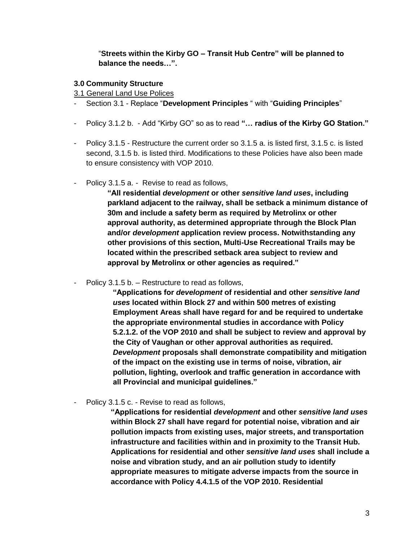"**Streets within the Kirby GO – Transit Hub Centre" will be planned to balance the needs…".**

#### **3.0 Community Structure**

3.1 General Land Use Polices

- Section 3.1 Replace "**Development Principles** " with "**Guiding Principles**"
- Policy 3.1.2 b. Add "Kirby GO" so as to read **"… radius of the Kirby GO Station."**
- Policy 3.1.5 Restructure the current order so 3.1.5 a. is listed first, 3.1.5 c. is listed second, 3.1.5 b. is listed third. Modifications to these Policies have also been made to ensure consistency with VOP 2010.
- Policy 3.1.5 a. Revise to read as follows,

**"All residential** *development* **or other** *sensitive land uses***, including parkland adjacent to the railway, shall be setback a minimum distance of 30m and include a safety berm as required by Metrolinx or other approval authority, as determined appropriate through the Block Plan and/or** *development* **application review process. Notwithstanding any other provisions of this section, Multi-Use Recreational Trails may be located within the prescribed setback area subject to review and approval by Metrolinx or other agencies as required."**

Policy 3.1.5 b. – Restructure to read as follows,

**"Applications for** *development* **of residential and other** *sensitive land uses* **located within Block 27 and within 500 metres of existing Employment Areas shall have regard for and be required to undertake the appropriate environmental studies in accordance with Policy 5.2.1.2. of the VOP 2010 and shall be subject to review and approval by the City of Vaughan or other approval authorities as required.**  *Development* **proposals shall demonstrate compatibility and mitigation of the impact on the existing use in terms of noise, vibration, air pollution, lighting, overlook and traffic generation in accordance with all Provincial and municipal guidelines."**

- Policy 3.1.5 c. - Revise to read as follows,

**"Applications for residential** *development* **and other** *sensitive land uses* **within Block 27 shall have regard for potential noise, vibration and air pollution impacts from existing uses, major streets, and transportation infrastructure and facilities within and in proximity to the Transit Hub. Applications for residential and other** *sensitive land uses* **shall include a noise and vibration study, and an air pollution study to identify appropriate measures to mitigate adverse impacts from the source in accordance with Policy 4.4.1.5 of the VOP 2010. Residential**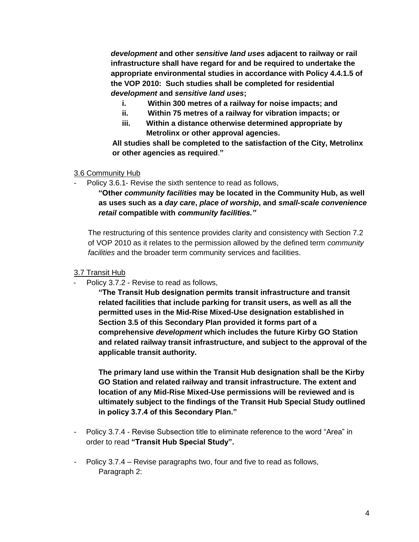*development* **and other** *sensitive land uses* **adjacent to railway or rail infrastructure shall have regard for and be required to undertake the appropriate environmental studies in accordance with Policy 4.4.1.5 of the VOP 2010: Such studies shall be completed for residential**  *development* **and** *sensitive land uses***;** 

- **i. Within 300 metres of a railway for noise impacts; and**
- **ii. Within 75 metres of a railway for vibration impacts; or**
- **iii. Within a distance otherwise determined appropriate by Metrolinx or other approval agencies.**

**All studies shall be completed to the satisfaction of the City, Metrolinx or other agencies as required**.**"**

## 3.6 Community Hub

Policy 3.6.1- Revise the sixth sentence to read as follows,

**"Other** *community facilities* **may be located in the Community Hub, as well as uses such as a** *day care***,** *place of worship***, and** *small-scale convenience retail* **compatible with** *community facilities."*

The restructuring of this sentence provides clarity and consistency with Section 7.2 of VOP 2010 as it relates to the permission allowed by the defined term *community facilities* and the broader term community services and facilities.

## 3.7 Transit Hub

Policy 3.7.2 - Revise to read as follows,

**"The Transit Hub designation permits transit infrastructure and transit related facilities that include parking for transit users, as well as all the permitted uses in the Mid-Rise Mixed-Use designation established in Section 3.5 of this Secondary Plan provided it forms part of a comprehensive** *development* **which includes the future Kirby GO Station and related railway transit infrastructure, and subject to the approval of the applicable transit authority.**

**The primary land use within the Transit Hub designation shall be the Kirby GO Station and related railway and transit infrastructure. The extent and location of any Mid-Rise Mixed-Use permissions will be reviewed and is ultimately subject to the findings of the Transit Hub Special Study outlined in policy 3.7.4 of this Secondary Plan."** 

- Policy 3.7.4 Revise Subsection title to eliminate reference to the word "Area" in order to read **"Transit Hub Special Study".**
- Policy 3.7.4 Revise paragraphs two, four and five to read as follows, Paragraph 2: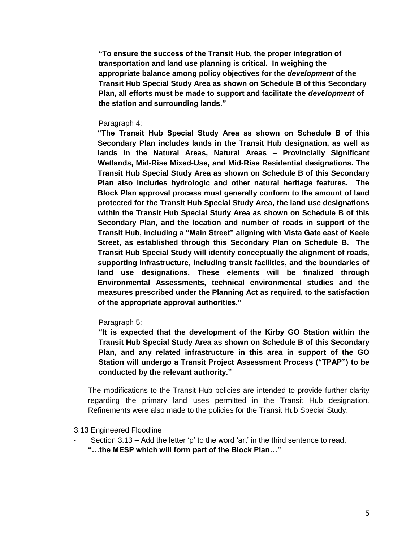**"To ensure the success of the Transit Hub, the proper integration of transportation and land use planning is critical. In weighing the appropriate balance among policy objectives for the** *development* **of the Transit Hub Special Study Area as shown on Schedule B of this Secondary Plan, all efforts must be made to support and facilitate the** *development* **of the station and surrounding lands."**

#### Paragraph 4:

**"The Transit Hub Special Study Area as shown on Schedule B of this Secondary Plan includes lands in the Transit Hub designation, as well as lands in the Natural Areas, Natural Areas – Provincially Significant Wetlands, Mid-Rise Mixed-Use, and Mid-Rise Residential designations. The Transit Hub Special Study Area as shown on Schedule B of this Secondary Plan also includes hydrologic and other natural heritage features. The Block Plan approval process must generally conform to the amount of land protected for the Transit Hub Special Study Area, the land use designations within the Transit Hub Special Study Area as shown on Schedule B of this Secondary Plan, and the location and number of roads in support of the Transit Hub, including a "Main Street" aligning with Vista Gate east of Keele Street, as established through this Secondary Plan on Schedule B. The Transit Hub Special Study will identify conceptually the alignment of roads, supporting infrastructure, including transit facilities, and the boundaries of land use designations. These elements will be finalized through Environmental Assessments, technical environmental studies and the measures prescribed under the Planning Act as required, to the satisfaction of the appropriate approval authorities."**

#### Paragraph 5:

**"It is expected that the development of the Kirby GO Station within the Transit Hub Special Study Area as shown on Schedule B of this Secondary Plan, and any related infrastructure in this area in support of the GO Station will undergo a Transit Project Assessment Process ("TPAP") to be conducted by the relevant authority."** 

The modifications to the Transit Hub policies are intended to provide further clarity regarding the primary land uses permitted in the Transit Hub designation. Refinements were also made to the policies for the Transit Hub Special Study.

3.13 Engineered Floodline

Section 3.13 – Add the letter 'p' to the word 'art' in the third sentence to read, **"…the MESP which will form part of the Block Plan…"**